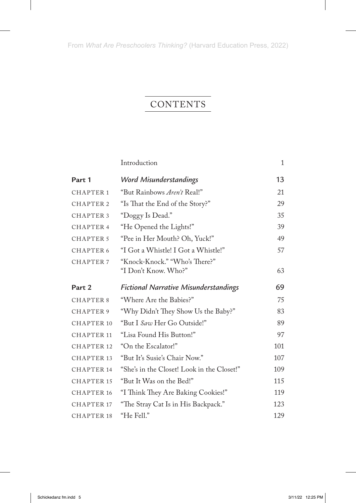## CONTENTS

|                       | Introduction                                          | $\mathbf{1}$ |
|-----------------------|-------------------------------------------------------|--------------|
| Part 1                | Word Misunderstandings                                | 13           |
| <b>CHAPTER 1</b>      | "But Rainbows Aren't Real!"                           | 21           |
| <b>CHAPTER 2</b>      | "Is That the End of the Story?"                       | 29           |
| <b>CHAPTER 3</b>      | "Doggy Is Dead."                                      | 35           |
| CHAPTER 4             | "He Opened the Lights!"                               | 39           |
| <b>CHAPTER 5</b>      | "Pee in Her Mouth? Oh, Yuck!"                         | 49           |
| CHAPTER 6             | "I Got a Whistle! I Got a Whistle!"                   | 57           |
| <b>CHAPTER 7</b>      | "Knock-Knock." "Who's There?"<br>"I Don't Know. Who?" | 63           |
| Part 2                | <b>Fictional Narrative Misunderstandings</b>          | 69           |
| <b>CHAPTER 8</b>      | "Where Are the Babies?"                               | 75           |
| CHAPTER 9             | "Why Didn't They Show Us the Baby?"                   | 83           |
| <b>CHAPTER 10</b>     | "But I Saw Her Go Outside!"                           | 89           |
| <b>CHAPTER 11</b>     | "Lisa Found His Button!"                              | 97           |
| CHAPTER 12            | "On the Escalator!"                                   | 101          |
| CHAPTER 13            | "But It's Susie's Chair Now."                         | 107          |
| <b>CHAPTER 14</b>     | "She's in the Closet! Look in the Closet!"            | 109          |
| CHAPTER 15            | "But It Was on the Bed!"                              | 115          |
| <b>CHAPTER 16</b>     | "I Think They Are Baking Cookies!"                    | 119          |
| <b>CHAPTER 17</b>     | "The Stray Cat Is in His Backpack."                   | 123          |
| CHAPTER <sub>18</sub> | "He Fell."                                            | 129          |